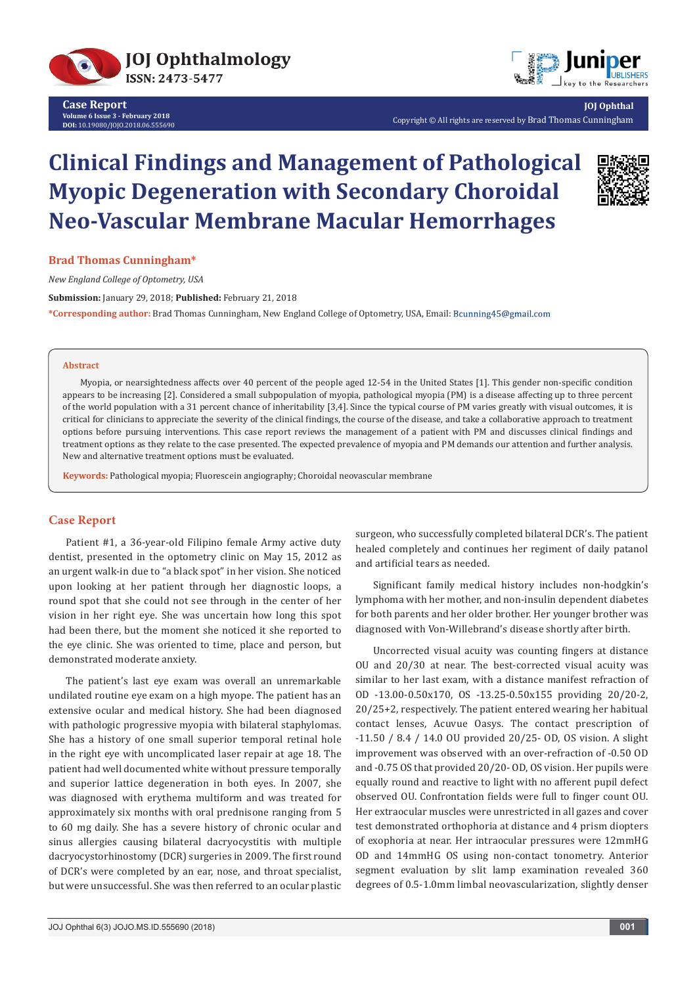



**JOJ Ophthal** Copyright © All rights are reserved by Brad Thomas Cunningham

# **Clinical Findings and Management of Pathological Myopic Degeneration with Secondary Choroidal Neo-Vascular Membrane Macular Hemorrhages**



## **Brad Thomas Cunningham\***

*New England College of Optometry, USA*

**Submission:** January 29, 2018; **Published:** February 21, 2018 **\*Corresponding author:** Brad Thomas Cunningham, New England College of Optometry, USA, Email:

#### **Abstract**

Myopia, or nearsightedness affects over 40 percent of the people aged 12-54 in the United States [1]. This gender non-specific condition appears to be increasing [2]. Considered a small subpopulation of myopia, pathological myopia (PM) is a disease affecting up to three percent of the world population with a 31 percent chance of inheritability [3,4]. Since the typical course of PM varies greatly with visual outcomes, it is critical for clinicians to appreciate the severity of the clinical findings, the course of the disease, and take a collaborative approach to treatment options before pursuing interventions. This case report reviews the management of a patient with PM and discusses clinical findings and treatment options as they relate to the case presented. The expected prevalence of myopia and PM demands our attention and further analysis. New and alternative treatment options must be evaluated.

**Keywords:** Pathological myopia; Fluorescein angiography; Choroidal neovascular membrane

### **Case Report**

Patient #1, a 36-year-old Filipino female Army active duty dentist, presented in the optometry clinic on May 15, 2012 as an urgent walk-in due to "a black spot" in her vision. She noticed upon looking at her patient through her diagnostic loops, a round spot that she could not see through in the center of her vision in her right eye. She was uncertain how long this spot had been there, but the moment she noticed it she reported to the eye clinic. She was oriented to time, place and person, but demonstrated moderate anxiety.

The patient's last eye exam was overall an unremarkable undilated routine eye exam on a high myope. The patient has an extensive ocular and medical history. She had been diagnosed with pathologic progressive myopia with bilateral staphylomas. She has a history of one small superior temporal retinal hole in the right eye with uncomplicated laser repair at age 18. The patient had well documented white without pressure temporally and superior lattice degeneration in both eyes. In 2007, she was diagnosed with erythema multiform and was treated for approximately six months with oral prednisone ranging from 5 to 60 mg daily. She has a severe history of chronic ocular and sinus allergies causing bilateral dacryocystitis with multiple dacryocystorhinostomy (DCR) surgeries in 2009. The first round of DCR's were completed by an ear, nose, and throat specialist, but were unsuccessful. She was then referred to an ocular plastic

surgeon, who successfully completed bilateral DCR's. The patient healed completely and continues her regiment of daily patanol and artificial tears as needed.

Significant family medical history includes non-hodgkin's lymphoma with her mother, and non-insulin dependent diabetes for both parents and her older brother. Her younger brother was diagnosed with Von-Willebrand's disease shortly after birth.

Uncorrected visual acuity was counting fingers at distance OU and 20/30 at near. The best-corrected visual acuity was similar to her last exam, with a distance manifest refraction of OD -13.00-0.50x170, OS -13.25-0.50x155 providing 20/20-2, 20/25+2, respectively. The patient entered wearing her habitual contact lenses, Acuvue Oasys. The contact prescription of -11.50 / 8.4 / 14.0 OU provided 20/25- OD, OS vision. A slight improvement was observed with an over-refraction of -0.50 OD and -0.75 OS that provided 20/20- OD, OS vision. Her pupils were equally round and reactive to light with no afferent pupil defect observed OU. Confrontation fields were full to finger count OU. Her extraocular muscles were unrestricted in all gazes and cover test demonstrated orthophoria at distance and 4 prism diopters of exophoria at near. Her intraocular pressures were 12mmHG OD and 14mmHG OS using non-contact tonometry. Anterior segment evaluation by slit lamp examination revealed 360 degrees of 0.5-1.0mm limbal neovascularization, slightly denser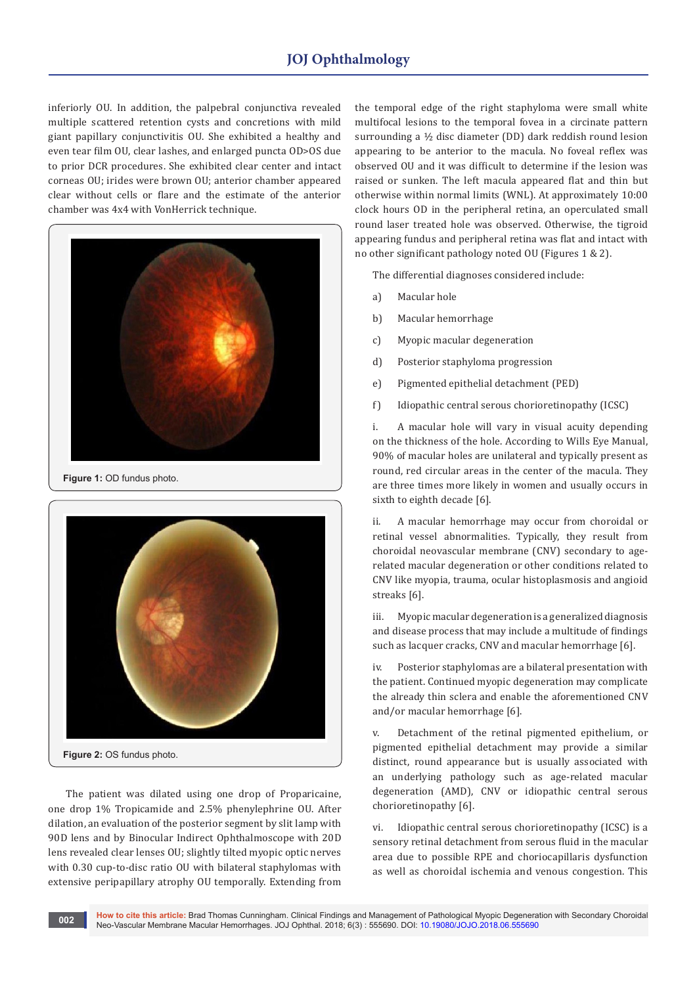# **JOJ Ophthalmology**

inferiorly OU. In addition, the palpebral conjunctiva revealed multiple scattered retention cysts and concretions with mild giant papillary conjunctivitis OU. She exhibited a healthy and even tear film OU, clear lashes, and enlarged puncta OD>OS due to prior DCR procedures. She exhibited clear center and intact corneas OU; irides were brown OU; anterior chamber appeared clear without cells or flare and the estimate of the anterior chamber was 4x4 with VonHerrick technique.



**Figure 1:** OD fundus photo.



The patient was dilated using one drop of Proparicaine, one drop 1% Tropicamide and 2.5% phenylephrine OU. After dilation, an evaluation of the posterior segment by slit lamp with 90D lens and by Binocular Indirect Ophthalmoscope with 20D lens revealed clear lenses OU; slightly tilted myopic optic nerves with 0.30 cup-to-disc ratio OU with bilateral staphylomas with extensive peripapillary atrophy OU temporally. Extending from

the temporal edge of the right staphyloma were small white multifocal lesions to the temporal fovea in a circinate pattern surrounding a ½ disc diameter (DD) dark reddish round lesion appearing to be anterior to the macula. No foveal reflex was observed OU and it was difficult to determine if the lesion was raised or sunken. The left macula appeared flat and thin but otherwise within normal limits (WNL). At approximately 10:00 clock hours OD in the peripheral retina, an operculated small round laser treated hole was observed. Otherwise, the tigroid appearing fundus and peripheral retina was flat and intact with no other significant pathology noted OU (Figures 1 & 2).

The differential diagnoses considered include:

- a) Macular hole
- b) Macular hemorrhage
- c) Myopic macular degeneration
- d) Posterior staphyloma progression
- e) Pigmented epithelial detachment (PED)
- f) Idiopathic central serous chorioretinopathy (ICSC)

i. A macular hole will vary in visual acuity depending on the thickness of the hole. According to Wills Eye Manual, 90% of macular holes are unilateral and typically present as round, red circular areas in the center of the macula. They are three times more likely in women and usually occurs in sixth to eighth decade [6].

A macular hemorrhage may occur from choroidal or retinal vessel abnormalities. Typically, they result from choroidal neovascular membrane (CNV) secondary to agerelated macular degeneration or other conditions related to CNV like myopia, trauma, ocular histoplasmosis and angioid streaks [6].

iii. Myopic macular degeneration is a generalized diagnosis and disease process that may include a multitude of findings such as lacquer cracks, CNV and macular hemorrhage [6].

iv. Posterior staphylomas are a bilateral presentation with the patient. Continued myopic degeneration may complicate the already thin sclera and enable the aforementioned CNV and/or macular hemorrhage [6].

v. Detachment of the retinal pigmented epithelium, or pigmented epithelial detachment may provide a similar distinct, round appearance but is usually associated with an underlying pathology such as age-related macular degeneration (AMD), CNV or idiopathic central serous chorioretinopathy [6].

vi. Idiopathic central serous chorioretinopathy (ICSC) is a sensory retinal detachment from serous fluid in the macular area due to possible RPE and choriocapillaris dysfunction as well as choroidal ischemia and venous congestion. This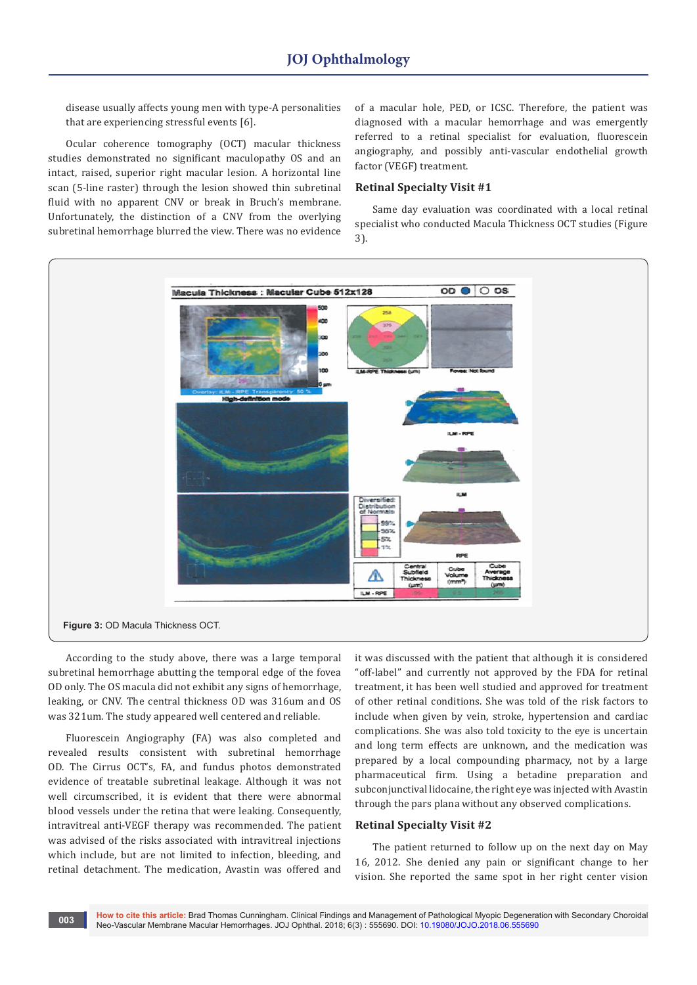disease usually affects young men with type-A personalities that are experiencing stressful events [6].

Ocular coherence tomography (OCT) macular thickness studies demonstrated no significant maculopathy OS and an intact, raised, superior right macular lesion. A horizontal line scan (5-line raster) through the lesion showed thin subretinal fluid with no apparent CNV or break in Bruch's membrane. Unfortunately, the distinction of a CNV from the overlying subretinal hemorrhage blurred the view. There was no evidence

of a macular hole, PED, or ICSC. Therefore, the patient was diagnosed with a macular hemorrhage and was emergently referred to a retinal specialist for evaluation, fluorescein angiography, and possibly anti-vascular endothelial growth factor (VEGF) treatment.

## **Retinal Specialty Visit #1**

Same day evaluation was coordinated with a local retinal specialist who conducted Macula Thickness OCT studies (Figure 3).



According to the study above, there was a large temporal subretinal hemorrhage abutting the temporal edge of the fovea OD only. The OS macula did not exhibit any signs of hemorrhage, leaking, or CNV. The central thickness OD was 316um and OS was 321um. The study appeared well centered and reliable.

Fluorescein Angiography (FA) was also completed and revealed results consistent with subretinal hemorrhage OD. The Cirrus OCT's, FA, and fundus photos demonstrated evidence of treatable subretinal leakage. Although it was not well circumscribed, it is evident that there were abnormal blood vessels under the retina that were leaking. Consequently, intravitreal anti-VEGF therapy was recommended. The patient was advised of the risks associated with intravitreal injections which include, but are not limited to infection, bleeding, and retinal detachment. The medication, Avastin was offered and

it was discussed with the patient that although it is considered "off-label" and currently not approved by the FDA for retinal treatment, it has been well studied and approved for treatment of other retinal conditions. She was told of the risk factors to include when given by vein, stroke, hypertension and cardiac complications. She was also told toxicity to the eye is uncertain and long term effects are unknown, and the medication was prepared by a local compounding pharmacy, not by a large pharmaceutical firm. Using a betadine preparation and subconjunctival lidocaine, the right eye was injected with Avastin through the pars plana without any observed complications.

# **Retinal Specialty Visit #2**

The patient returned to follow up on the next day on May 16, 2012. She denied any pain or significant change to her vision. She reported the same spot in her right center vision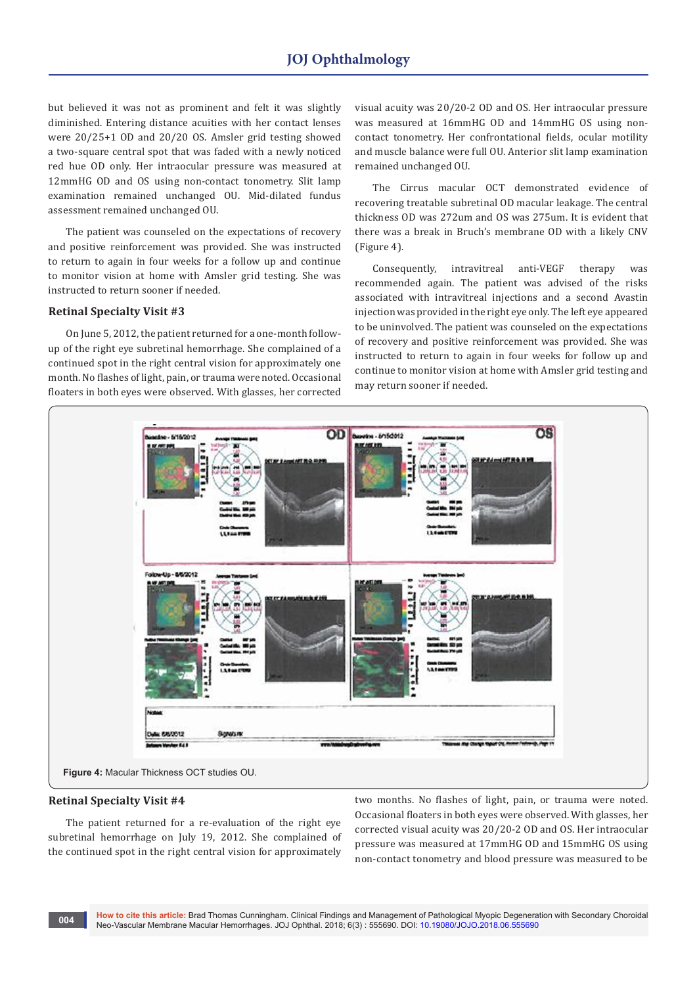but believed it was not as prominent and felt it was slightly diminished. Entering distance acuities with her contact lenses were 20/25+1 OD and 20/20 OS. Amsler grid testing showed a two-square central spot that was faded with a newly noticed red hue OD only. Her intraocular pressure was measured at 12mmHG OD and OS using non-contact tonometry. Slit lamp examination remained unchanged OU. Mid-dilated fundus assessment remained unchanged OU.

The patient was counseled on the expectations of recovery and positive reinforcement was provided. She was instructed to return to again in four weeks for a follow up and continue to monitor vision at home with Amsler grid testing. She was instructed to return sooner if needed.

#### **Retinal Specialty Visit #3**

On June 5, 2012, the patient returned for a one-month followup of the right eye subretinal hemorrhage. She complained of a continued spot in the right central vision for approximately one month. No flashes of light, pain, or trauma were noted. Occasional floaters in both eyes were observed. With glasses, her corrected

visual acuity was 20/20-2 OD and OS. Her intraocular pressure was measured at 16mmHG OD and 14mmHG OS using noncontact tonometry. Her confrontational fields, ocular motility and muscle balance were full OU. Anterior slit lamp examination remained unchanged OU.

The Cirrus macular OCT demonstrated evidence of recovering treatable subretinal OD macular leakage. The central thickness OD was 272um and OS was 275um. It is evident that there was a break in Bruch's membrane OD with a likely CNV (Figure 4).

Consequently, intravitreal anti-VEGF therapy was recommended again. The patient was advised of the risks associated with intravitreal injections and a second Avastin injection was provided in the right eye only. The left eye appeared to be uninvolved. The patient was counseled on the expectations of recovery and positive reinforcement was provided. She was instructed to return to again in four weeks for follow up and continue to monitor vision at home with Amsler grid testing and may return sooner if needed.



#### **Retinal Specialty Visit #4**

The patient returned for a re-evaluation of the right eye subretinal hemorrhage on July 19, 2012. She complained of the continued spot in the right central vision for approximately

two months. No flashes of light, pain, or trauma were noted. Occasional floaters in both eyes were observed. With glasses, her corrected visual acuity was 20/20-2 OD and OS. Her intraocular pressure was measured at 17mmHG OD and 15mmHG OS using non-contact tonometry and blood pressure was measured to be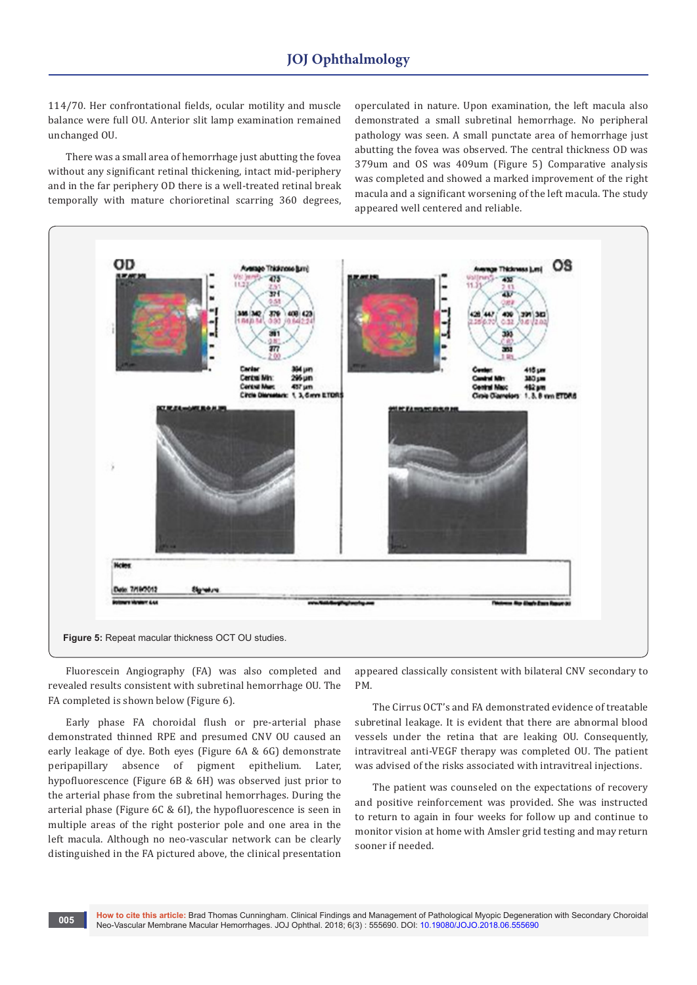114/70. Her confrontational fields, ocular motility and muscle balance were full OU. Anterior slit lamp examination remained unchanged OU.

There was a small area of hemorrhage just abutting the fovea without any significant retinal thickening, intact mid-periphery and in the far periphery OD there is a well-treated retinal break temporally with mature chorioretinal scarring 360 degrees, operculated in nature. Upon examination, the left macula also demonstrated a small subretinal hemorrhage. No peripheral pathology was seen. A small punctate area of hemorrhage just abutting the fovea was observed. The central thickness OD was 379um and OS was 409um (Figure 5) Comparative analysis was completed and showed a marked improvement of the right macula and a significant worsening of the left macula. The study appeared well centered and reliable.



Fluorescein Angiography (FA) was also completed and revealed results consistent with subretinal hemorrhage OU. The FA completed is shown below (Figure 6).

Early phase FA choroidal flush or pre-arterial phase demonstrated thinned RPE and presumed CNV OU caused an early leakage of dye. Both eyes (Figure 6A & 6G) demonstrate peripapillary absence of pigment epithelium. Later, hypofluorescence (Figure 6B & 6H) was observed just prior to the arterial phase from the subretinal hemorrhages. During the arterial phase (Figure 6C & 6I), the hypofluorescence is seen in multiple areas of the right posterior pole and one area in the left macula. Although no neo-vascular network can be clearly distinguished in the FA pictured above, the clinical presentation

appeared classically consistent with bilateral CNV secondary to PM.

The Cirrus OCT's and FA demonstrated evidence of treatable subretinal leakage. It is evident that there are abnormal blood vessels under the retina that are leaking OU. Consequently, intravitreal anti-VEGF therapy was completed OU. The patient was advised of the risks associated with intravitreal injections.

The patient was counseled on the expectations of recovery and positive reinforcement was provided. She was instructed to return to again in four weeks for follow up and continue to monitor vision at home with Amsler grid testing and may return sooner if needed.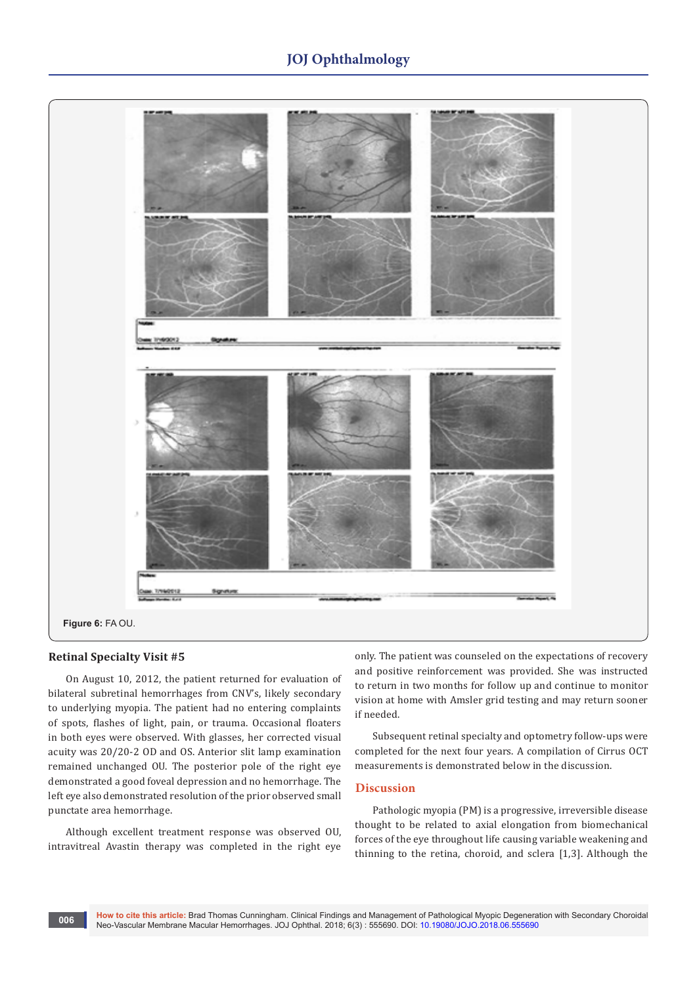# **JOJ Ophthalmology**



#### **Retinal Specialty Visit #5**

On August 10, 2012, the patient returned for evaluation of bilateral subretinal hemorrhages from CNV's, likely secondary to underlying myopia. The patient had no entering complaints of spots, flashes of light, pain, or trauma. Occasional floaters in both eyes were observed. With glasses, her corrected visual acuity was 20/20-2 OD and OS. Anterior slit lamp examination remained unchanged OU. The posterior pole of the right eye demonstrated a good foveal depression and no hemorrhage. The left eye also demonstrated resolution of the prior observed small punctate area hemorrhage.

Although excellent treatment response was observed OU, intravitreal Avastin therapy was completed in the right eye only. The patient was counseled on the expectations of recovery and positive reinforcement was provided. She was instructed to return in two months for follow up and continue to monitor vision at home with Amsler grid testing and may return sooner if needed.

Subsequent retinal specialty and optometry follow-ups were completed for the next four years. A compilation of Cirrus OCT measurements is demonstrated below in the discussion.

# **Discussion**

Pathologic myopia (PM) is a progressive, irreversible disease thought to be related to axial elongation from biomechanical forces of the eye throughout life causing variable weakening and thinning to the retina, choroid, and sclera [1,3]. Although the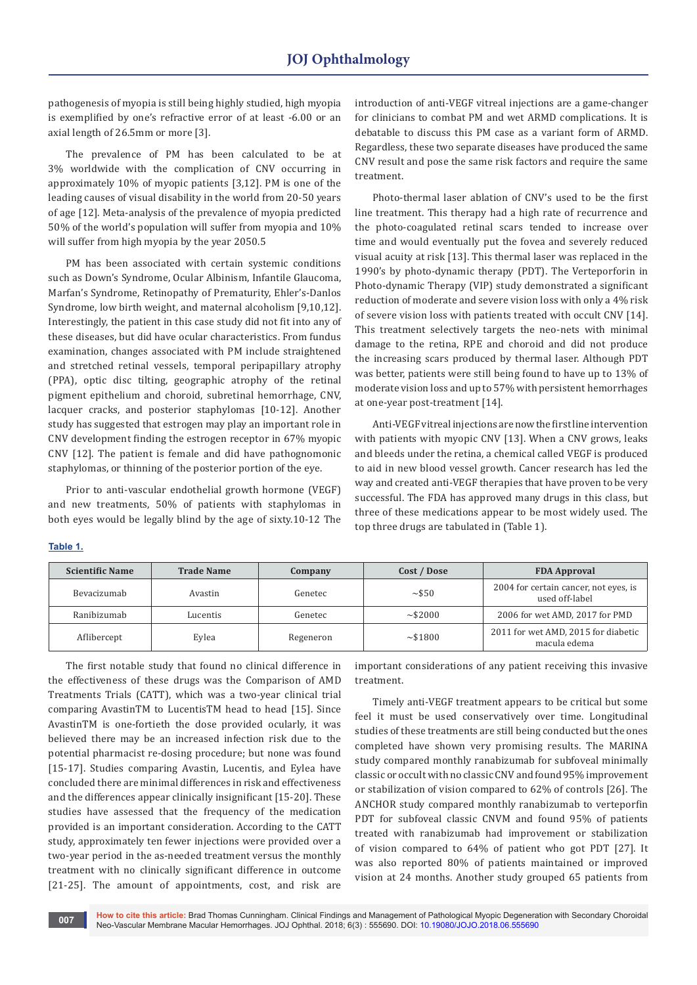pathogenesis of myopia is still being highly studied, high myopia is exemplified by one's refractive error of at least -6.00 or an axial length of 26.5mm or more [3].

The prevalence of PM has been calculated to be at 3% worldwide with the complication of CNV occurring in approximately 10% of myopic patients [3,12]. PM is one of the leading causes of visual disability in the world from 20-50 years of age [12]. Meta-analysis of the prevalence of myopia predicted 50% of the world's population will suffer from myopia and 10% will suffer from high myopia by the year 2050.5

PM has been associated with certain systemic conditions such as Down's Syndrome, Ocular Albinism, Infantile Glaucoma, Marfan's Syndrome, Retinopathy of Prematurity, Ehler's-Danlos Syndrome, low birth weight, and maternal alcoholism [9,10,12]. Interestingly, the patient in this case study did not fit into any of these diseases, but did have ocular characteristics. From fundus examination, changes associated with PM include straightened and stretched retinal vessels, temporal peripapillary atrophy (PPA), optic disc tilting, geographic atrophy of the retinal pigment epithelium and choroid, subretinal hemorrhage, CNV, lacquer cracks, and posterior staphylomas [10-12]. Another study has suggested that estrogen may play an important role in CNV development finding the estrogen receptor in 67% myopic CNV [12]. The patient is female and did have pathognomonic staphylomas, or thinning of the posterior portion of the eye.

Prior to anti-vascular endothelial growth hormone (VEGF) and new treatments, 50% of patients with staphylomas in both eyes would be legally blind by the age of sixty.10-12 The introduction of anti-VEGF vitreal injections are a game-changer for clinicians to combat PM and wet ARMD complications. It is debatable to discuss this PM case as a variant form of ARMD. Regardless, these two separate diseases have produced the same CNV result and pose the same risk factors and require the same treatment.

Photo-thermal laser ablation of CNV's used to be the first line treatment. This therapy had a high rate of recurrence and the photo-coagulated retinal scars tended to increase over time and would eventually put the fovea and severely reduced visual acuity at risk [13]. This thermal laser was replaced in the 1990's by photo-dynamic therapy (PDT). The Verteporforin in Photo-dynamic Therapy (VIP) study demonstrated a significant reduction of moderate and severe vision loss with only a 4% risk of severe vision loss with patients treated with occult CNV [14]. This treatment selectively targets the neo-nets with minimal damage to the retina, RPE and choroid and did not produce the increasing scars produced by thermal laser. Although PDT was better, patients were still being found to have up to 13% of moderate vision loss and up to 57% with persistent hemorrhages at one-year post-treatment [14].

Anti-VEGF vitreal injections are now the first line intervention with patients with myopic CNV [13]. When a CNV grows, leaks and bleeds under the retina, a chemical called VEGF is produced to aid in new blood vessel growth. Cancer research has led the way and created anti-VEGF therapies that have proven to be very successful. The FDA has approved many drugs in this class, but three of these medications appear to be most widely used. The top three drugs are tabulated in (Table 1).

| <b>Scientific Name</b> | <b>Trade Name</b> | Company   | Cost / Dose   | <b>FDA Approval</b>                                     |
|------------------------|-------------------|-----------|---------------|---------------------------------------------------------|
| Bevacizumab            | Avastin           | Genetec   | ~550          | 2004 for certain cancer, not eyes, is<br>used off-label |
| Ranibizumab            | Lucentis          | Genetec   | $\sim$ \$2000 | 2006 for wet AMD, 2017 for PMD                          |
| Aflibercept            | Eylea             | Regeneron | ~1800         | 2011 for wet AMD, 2015 for diabetic<br>macula edema     |

#### **Table 1.**

The first notable study that found no clinical difference in the effectiveness of these drugs was the Comparison of AMD Treatments Trials (CATT), which was a two-year clinical trial comparing AvastinTM to LucentisTM head to head [15]. Since AvastinTM is one-fortieth the dose provided ocularly, it was believed there may be an increased infection risk due to the potential pharmacist re-dosing procedure; but none was found [15-17]. Studies comparing Avastin, Lucentis, and Eylea have concluded there are minimal differences in risk and effectiveness and the differences appear clinically insignificant [15-20]. These studies have assessed that the frequency of the medication provided is an important consideration. According to the CATT study, approximately ten fewer injections were provided over a two-year period in the as-needed treatment versus the monthly treatment with no clinically significant difference in outcome [21-25]. The amount of appointments, cost, and risk are

important considerations of any patient receiving this invasive treatment.

Timely anti-VEGF treatment appears to be critical but some feel it must be used conservatively over time. Longitudinal studies of these treatments are still being conducted but the ones completed have shown very promising results. The MARINA study compared monthly ranabizumab for subfoveal minimally classic or occult with no classic CNV and found 95% improvement or stabilization of vision compared to 62% of controls [26]. The ANCHOR study compared monthly ranabizumab to verteporfin PDT for subfoveal classic CNVM and found 95% of patients treated with ranabizumab had improvement or stabilization of vision compared to 64% of patient who got PDT [27]. It was also reported 80% of patients maintained or improved vision at 24 months. Another study grouped 65 patients from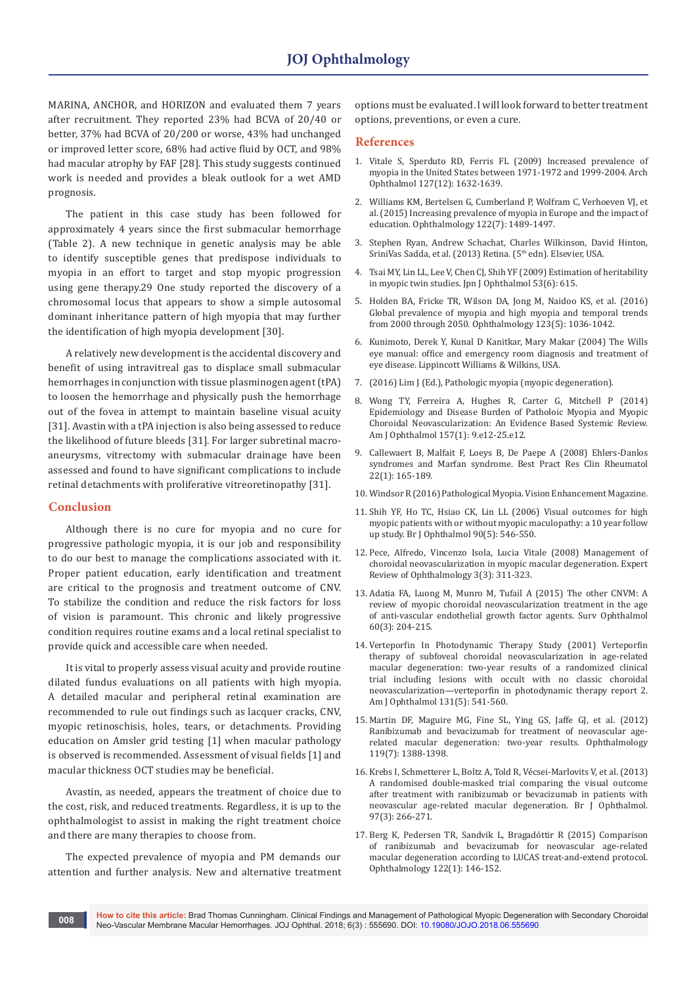MARINA, ANCHOR, and HORIZON and evaluated them 7 years after recruitment. They reported 23% had BCVA of 20/40 or better, 37% had BCVA of 20/200 or worse, 43% had unchanged or improved letter score, 68% had active fluid by OCT, and 98% had macular atrophy by FAF [28]. This study suggests continued work is needed and provides a bleak outlook for a wet AMD prognosis.

The patient in this case study has been followed for approximately 4 years since the first submacular hemorrhage (Table 2). A new technique in genetic analysis may be able to identify susceptible genes that predispose individuals to myopia in an effort to target and stop myopic progression using gene therapy.29 One study reported the discovery of a chromosomal locus that appears to show a simple autosomal dominant inheritance pattern of high myopia that may further the identification of high myopia development [30].

A relatively new development is the accidental discovery and benefit of using intravitreal gas to displace small submacular hemorrhages in conjunction with tissue plasminogen agent (tPA) to loosen the hemorrhage and physically push the hemorrhage out of the fovea in attempt to maintain baseline visual acuity [31]. Avastin with a tPA injection is also being assessed to reduce the likelihood of future bleeds [31]. For larger subretinal macroaneurysms, vitrectomy with submacular drainage have been assessed and found to have significant complications to include retinal detachments with proliferative vitreoretinopathy [31].

#### **Conclusion**

Although there is no cure for myopia and no cure for progressive pathologic myopia, it is our job and responsibility to do our best to manage the complications associated with it. Proper patient education, early identification and treatment are critical to the prognosis and treatment outcome of CNV. To stabilize the condition and reduce the risk factors for loss of vision is paramount. This chronic and likely progressive condition requires routine exams and a local retinal specialist to provide quick and accessible care when needed.

It is vital to properly assess visual acuity and provide routine dilated fundus evaluations on all patients with high myopia. A detailed macular and peripheral retinal examination are recommended to rule out findings such as lacquer cracks, CNV, myopic retinoschisis, holes, tears, or detachments. Providing education on Amsler grid testing [1] when macular pathology is observed is recommended. Assessment of visual fields [1] and macular thickness OCT studies may be beneficial.

Avastin, as needed, appears the treatment of choice due to the cost, risk, and reduced treatments. Regardless, it is up to the ophthalmologist to assist in making the right treatment choice and there are many therapies to choose from.

The expected prevalence of myopia and PM demands our attention and further analysis. New and alternative treatment options must be evaluated. I will look forward to better treatment options, preventions, or even a cure.

#### **References**

- 1. [Vitale S, Sperduto RD, Ferris FL \(2009\) Increased prevalence of](https://www.ncbi.nlm.nih.gov/pubmed/20008719)  [myopia in the United States between 1971-1972 and 1999-2004. Arch](https://www.ncbi.nlm.nih.gov/pubmed/20008719)  [Ophthalmol 127\(12\): 1632-1639.](https://www.ncbi.nlm.nih.gov/pubmed/20008719)
- 2. [Williams KM, Bertelsen G, Cumberland P, Wolfram C, Verhoeven VJ, et](https://www.ncbi.nlm.nih.gov/pubmed/25983215)  [al. \(2015\) Increasing prevalence of myopia in Europe and the impact of](https://www.ncbi.nlm.nih.gov/pubmed/25983215)  [education. Ophthalmology 122\(7\): 1489-1497.](https://www.ncbi.nlm.nih.gov/pubmed/25983215)
- 3. Stephen Ryan, Andrew Schachat, Charles Wilkinson, David Hinton, SriniVas Sadda, et al. (2013) Retina. (5<sup>th</sup> edn). Elsevier, USA.
- 4. [Tsai MY, Lin LL, Lee V, Chen CJ, Shih YF \(2009\) Estimation of heritability](https://www.ncbi.nlm.nih.gov/pubmed/20020241)  [in myopic twin studies. Jpn J Ophthalmol](https://www.ncbi.nlm.nih.gov/pubmed/20020241) 53(6): 615.
- 5. [Holden BA, Fricke TR, Wilson DA, Jong M, Naidoo KS, et al. \(2016\)](https://www.ncbi.nlm.nih.gov/pubmed/26875007)  [Global prevalence of myopia and high myopia and temporal trends](https://www.ncbi.nlm.nih.gov/pubmed/26875007)  [from 2000 through 2050. Ophthalmology](https://www.ncbi.nlm.nih.gov/pubmed/26875007) 123(5): 1036-1042.
- 6. Kunimoto, Derek Y, Kunal D Kanitkar, Mary Makar (2004) The Wills eye manual: office and emergency room diagnosis and treatment of eye disease. Lippincott Williams & Wilkins, USA.
- 7. [\(2016\) Lim J \(Ed.\), Pathologic myopia \(myopic degeneration\).](http://eyewiki.aao.org/Pathologic_myopia_(myopic_degeneration))
- 8. [Wong TY, Ferreira A, Hughes R, Carter G, Mitchell P \(2014\)](https://www.ncbi.nlm.nih.gov/pubmed/24099276)  [Epidemiology and Disease Burden of Patholoic Myopia and Myopic](https://www.ncbi.nlm.nih.gov/pubmed/24099276)  [Choroidal Neovascularization: An Evidence Based Systemic Review.](https://www.ncbi.nlm.nih.gov/pubmed/24099276)  Am J Ophthalmol [157\(1\): 9.e12-25.e12.](https://www.ncbi.nlm.nih.gov/pubmed/24099276)
- 9. [Callewaert B, Malfait F, Loeys B, De Paepe A \(2008\) Ehlers-Danlos](https://www.ncbi.nlm.nih.gov/pubmed/18328988)  [syndromes and Marfan syndrome. Best Pract Res Clin Rheumatol](https://www.ncbi.nlm.nih.gov/pubmed/18328988)  [22\(1\): 165-189.](https://www.ncbi.nlm.nih.gov/pubmed/18328988)
- 10. [Windsor R \(2016\) Pathological Myopia. Vision Enhancement Magazine.](http://www.eyeassociates.com/pathological-myopia/)
- 11. [Shih YF, Ho TC, Hsiao CK, Lin LL \(2006\) Visual outcomes for high](https://www.ncbi.nlm.nih.gov/pubmed/16622083)  [myopic patients with or without myopic maculopathy: a 10 year follow](https://www.ncbi.nlm.nih.gov/pubmed/16622083)  [up study. Br J Ophthalmol](https://www.ncbi.nlm.nih.gov/pubmed/16622083) 90(5): 546-550.
- 12. [Pece, Alfredo, Vincenzo Isola, Lucia Vitale \(2008\) Management of](https://www.medscape.com/viewarticle/575933)  [choroidal neovascularization in myopic macular degeneration. Expert](https://www.medscape.com/viewarticle/575933)  [Review of Ophthalmology](https://www.medscape.com/viewarticle/575933) 3(3): 311-323.
- 13. [Adatia FA, Luong M, Munro M, Tufail A \(2015\) The other CNVM: A](https://www.ncbi.nlm.nih.gov/pubmed/25890624)  [review of myopic choroidal neovascularization treatment in the age](https://www.ncbi.nlm.nih.gov/pubmed/25890624)  [of anti-vascular endothelial growth factor agents. Surv Ophthalmol](https://www.ncbi.nlm.nih.gov/pubmed/25890624) [60\(3\): 204-215.](https://www.ncbi.nlm.nih.gov/pubmed/25890624)
- 14. [Verteporfin In Photodynamic Therapy Study \(2001\) Verteporfin](https://www.ncbi.nlm.nih.gov/pubmed/11336929)  [therapy of subfoveal choroidal neovascularization in age-related](https://www.ncbi.nlm.nih.gov/pubmed/11336929)  [macular degeneration: two-year results of a randomized clinical](https://www.ncbi.nlm.nih.gov/pubmed/11336929)  [trial including lesions with occult with no classic choroidal](https://www.ncbi.nlm.nih.gov/pubmed/11336929)  [neovascularization—verteporfin in photodynamic therapy report 2.](https://www.ncbi.nlm.nih.gov/pubmed/11336929)  Am J Ophthalmol [131\(5\): 541-560.](https://www.ncbi.nlm.nih.gov/pubmed/11336929)
- 15. [Martin DF, Maguire MG, Fine SL, Ying GS, Jaffe GJ, et al. \(2012\)](https://www.ncbi.nlm.nih.gov/pubmed/22555112)  [Ranibizumab and bevacizumab for treatment of neovascular age](https://www.ncbi.nlm.nih.gov/pubmed/22555112)[related macular degeneration: two-year results. Ophthalmology](https://www.ncbi.nlm.nih.gov/pubmed/22555112)  [119\(7\): 1388-1398.](https://www.ncbi.nlm.nih.gov/pubmed/22555112)
- 16. [Krebs I, Schmetterer L, Boltz A, Told R, Vécsei-Marlovits V, et al. \(2013\)](https://www.ncbi.nlm.nih.gov/pubmed/23292928)  [A randomised double-masked trial comparing the visual outcome](https://www.ncbi.nlm.nih.gov/pubmed/23292928)  [after treatment with ranibizumab or bevacizumab in patients with](https://www.ncbi.nlm.nih.gov/pubmed/23292928)  [neovascular age-related macular degeneration. Br J Ophthalmol](https://www.ncbi.nlm.nih.gov/pubmed/23292928)*.*  [97\(3\): 266-271.](https://www.ncbi.nlm.nih.gov/pubmed/23292928)
- 17. [Berg K, Pedersen TR, Sandvik L, Bragadóttir R \(2015\) Comparison](https://www.ncbi.nlm.nih.gov/pubmed/25227499)  [of ranibizumab and bevacizumab for neovascular age-related](https://www.ncbi.nlm.nih.gov/pubmed/25227499)  [macular degeneration according to LUCAS treat-and-extend protocol.](https://www.ncbi.nlm.nih.gov/pubmed/25227499)  Ophthalmology [122\(1\): 146-152.](https://www.ncbi.nlm.nih.gov/pubmed/25227499)